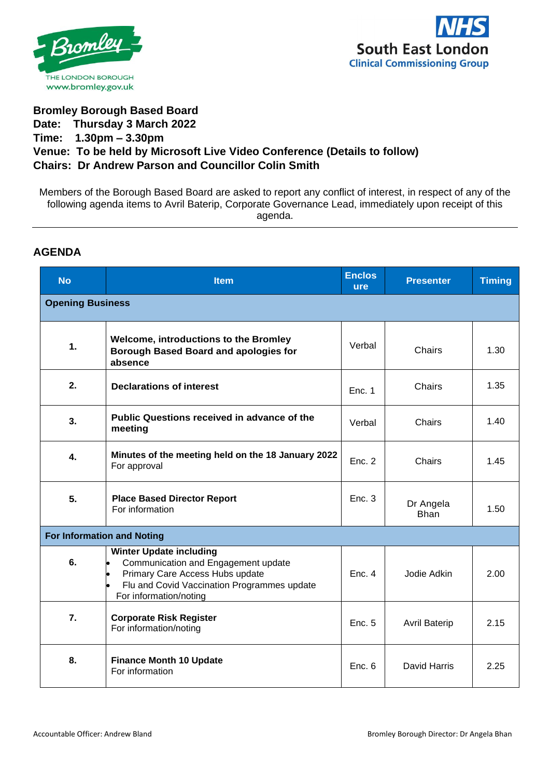



## **Bromley Borough Based Board Date: Thursday 3 March 2022 Time: 1.30pm – 3.30pm Venue: To be held by Microsoft Live Video Conference (Details to follow) Chairs: Dr Andrew Parson and Councillor Colin Smith**

Members of the Borough Based Board are asked to report any conflict of interest, in respect of any of the following agenda items to Avril Baterip, Corporate Governance Lead, immediately upon receipt of this agenda.

## **AGENDA**

| <b>No</b>                         | <b>Item</b>                                                                                                                                                                       | <b>Enclos</b><br><b>ure</b> | <b>Presenter</b>         | <b>Timing</b> |  |  |
|-----------------------------------|-----------------------------------------------------------------------------------------------------------------------------------------------------------------------------------|-----------------------------|--------------------------|---------------|--|--|
| <b>Opening Business</b>           |                                                                                                                                                                                   |                             |                          |               |  |  |
| $\mathbf{1}$ .                    | Welcome, introductions to the Bromley<br><b>Borough Based Board and apologies for</b><br>absence                                                                                  | Verbal                      | Chairs                   | 1.30          |  |  |
| 2.                                | <b>Declarations of interest</b>                                                                                                                                                   | Enc. 1                      | Chairs                   | 1.35          |  |  |
| 3.                                | Public Questions received in advance of the<br>meeting                                                                                                                            | Verbal                      | Chairs                   | 1.40          |  |  |
| 4.                                | Minutes of the meeting held on the 18 January 2022<br>For approval                                                                                                                | Enc. 2                      | Chairs                   | 1.45          |  |  |
| 5.                                | <b>Place Based Director Report</b><br>For information                                                                                                                             | Enc. 3                      | Dr Angela<br><b>Bhan</b> | 1.50          |  |  |
| <b>For Information and Noting</b> |                                                                                                                                                                                   |                             |                          |               |  |  |
| 6.                                | <b>Winter Update including</b><br>Communication and Engagement update<br>Primary Care Access Hubs update<br>Flu and Covid Vaccination Programmes update<br>For information/noting | Enc. 4                      | Jodie Adkin              | 2.00          |  |  |
| 7.                                | <b>Corporate Risk Register</b><br>For information/noting                                                                                                                          | Enc. 5                      | <b>Avril Baterip</b>     | 2.15          |  |  |
| 8.                                | <b>Finance Month 10 Update</b><br>For information                                                                                                                                 | Enc. 6                      | David Harris             | 2.25          |  |  |